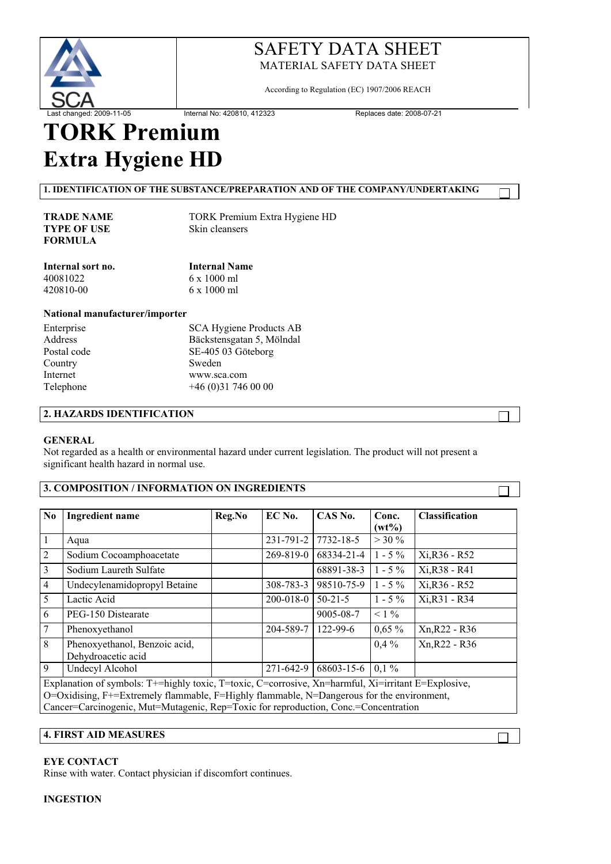

According to Regulation (EC) 1907/2006 REACH

# **TORK Premium Extra Hygiene HD**

**1. IDENTIFICATION OF THE SUBSTANCE/PREPARATION AND OF THE COMPANY/UNDERTAKING**

**TYPE OF USE FORMULA**

**TRADE NAME** TORK Premium Extra Hygiene HD<br> **TYPE OF USE** Skin cleansers

| <b>Internal Name</b> |  |  |  |
|----------------------|--|--|--|
| $6 \times 1000$ ml   |  |  |  |
| $6 \times 1000$ ml   |  |  |  |
|                      |  |  |  |

#### **National manufacturer/importer**

| Enterprise  | <b>SCA Hygiene Products AB</b> |
|-------------|--------------------------------|
| Address     | Bäckstensgatan 5, Mölndal      |
| Postal code | SE-405 03 Göteborg             |
| Country     | Sweden                         |
| Internet    | www.sca.com                    |
| Telephone   | $+46(0)317460000$              |
|             |                                |

# **2. HAZARDS IDENTIFICATION**

#### **GENERAL**

Not regarded as a health or environmental hazard under current legislation. The product will not present a significant health hazard in normal use.

## **3. COMPOSITION / INFORMATION ON INGREDIENTS**

| N <sub>0</sub>                                                                                                                                                                                                                                                                          | <b>Ingredient name</b>                              | Reg.No | EC No.          | CAS No.         | Conc.<br>$(wt\%)$ | <b>Classification</b> |
|-----------------------------------------------------------------------------------------------------------------------------------------------------------------------------------------------------------------------------------------------------------------------------------------|-----------------------------------------------------|--------|-----------------|-----------------|-------------------|-----------------------|
| $\vert$ 1                                                                                                                                                                                                                                                                               | Aqua                                                |        | 231-791-2       | 7732-18-5       | $>$ 30 %          |                       |
| $\overline{2}$                                                                                                                                                                                                                                                                          | Sodium Cocoamphoacetate                             |        | 269-819-0       | 68334-21-4      | $1 - 5\%$         | Xi, R36 - R52         |
| $\overline{3}$                                                                                                                                                                                                                                                                          | Sodium Laureth Sulfate                              |        |                 | 68891-38-3      | $1 - 5\%$         | Xi, R38 - R41         |
| $\overline{4}$                                                                                                                                                                                                                                                                          | Undecylenamidopropyl Betaine                        |        | 308-783-3       | 98510-75-9      | $1 - 5\%$         | Xi, R36 - R52         |
| $5\overline{)}$                                                                                                                                                                                                                                                                         | Lactic Acid                                         |        | $200 - 018 - 0$ | $50 - 21 - 5$   | $1 - 5\%$         | Xi, R31 - R34         |
| 6                                                                                                                                                                                                                                                                                       | PEG-150 Distearate                                  |        |                 | $9005 - 08 - 7$ | $< 1\%$           |                       |
| $\overline{7}$                                                                                                                                                                                                                                                                          | Phenoxyethanol                                      |        | 204-589-7       | $122 - 99 - 6$  | $0,65\%$          | Xn, R22 - R36         |
| 8                                                                                                                                                                                                                                                                                       | Phenoxyethanol, Benzoic acid,<br>Dehydroacetic acid |        |                 |                 | $0.4\%$           | Xn, R22 - R36         |
| 9                                                                                                                                                                                                                                                                                       | Undecyl Alcohol                                     |        | 271-642-9       | 68603-15-6      | $0.1\%$           |                       |
| Explanation of symbols: T+=highly toxic, T=toxic, C=corrosive, Xn=harmful, Xi=irritant E=Explosive,<br>O=Oxidising, F+=Extremely flammable, F=Highly flammable, N=Dangerous for the environment,<br>Cancer=Carcinogenic, Mut=Mutagenic, Rep=Toxic for reproduction, Conc.=Concentration |                                                     |        |                 |                 |                   |                       |

#### **4. FIRST AID MEASURES**

#### **EYE CONTACT**

Rinse with water. Contact physician if discomfort continues.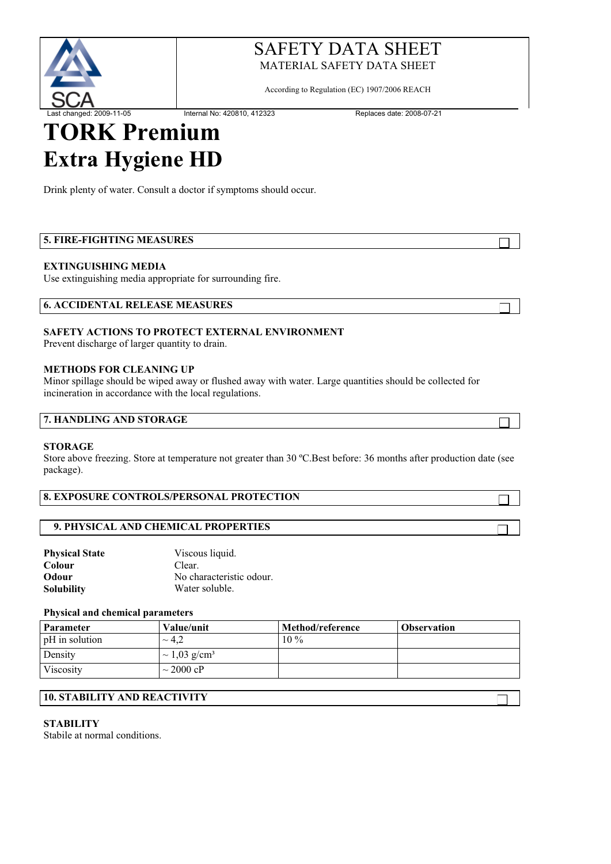

According to Regulation (EC) 1907/2006 REACH

Last changed: 2009-11-05 Internal No: 420810, 412323 Replaces date: 2008-07-21

# **TORK Premium Extra Hygiene HD**

Drink plenty of water. Consult a doctor if symptoms should occur.

# **5. FIRE-FIGHTING MEASURES**

# **EXTINGUISHING MEDIA**

Use extinguishing media appropriate for surrounding fire.

| <b>6. ACCIDENTAL RELEASE MEASURES</b> |  |
|---------------------------------------|--|
|---------------------------------------|--|

# **SAFETY ACTIONS TO PROTECT EXTERNAL ENVIRONMENT**

Prevent discharge of larger quantity to drain.

## **METHODS FOR CLEANING UP**

Minor spillage should be wiped away or flushed away with water. Large quantities should be collected for incineration in accordance with the local regulations.

# **7. HANDLING AND STORAGE**

## **STORAGE**

Store above freezing. Store at temperature not greater than 30 ºC.Best before: 36 months after production date (see package).

## **8. EXPOSURE CONTROLS/PERSONAL PROTECTION**

## **9. PHYSICAL AND CHEMICAL PROPERTIES**

| <b>Physical State</b> | Viscous liquid.          |
|-----------------------|--------------------------|
| Colour                | Clear.                   |
| Odour                 | No characteristic odour. |
| <b>Solubility</b>     | Water soluble.           |

## **Physical and chemical parameters**

| Parameter      | Value/unit                    | Method/reference | <b>Observation</b> |
|----------------|-------------------------------|------------------|--------------------|
| pH in solution | $\sim 4.2$                    | $10\%$           |                    |
| Density        | $\sim 1,03$ g/cm <sup>3</sup> |                  |                    |
| Viscosity      | $\sim$ 2000 cP                |                  |                    |

## **10. STABILITY AND REACTIVITY**

## **STABILITY**

Stabile at normal conditions.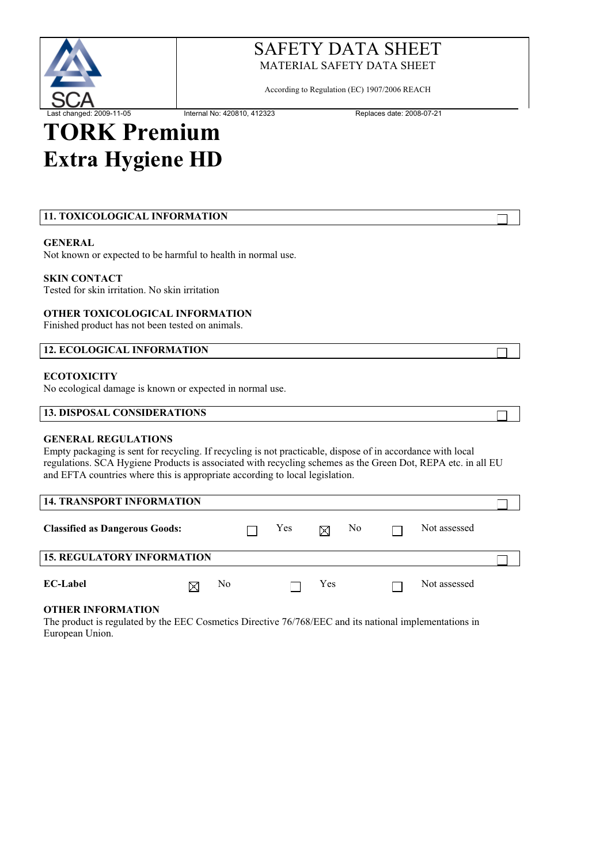

According to Regulation (EC) 1907/2006 REACH

# **TORK Premium Extra Hygiene HD**

# **11. TOXICOLOGICAL INFORMATION**

#### **GENERAL**

Not known or expected to be harmful to health in normal use.

#### **SKIN CONTACT**

Tested for skin irritation. No skin irritation

#### **OTHER TOXICOLOGICAL INFORMATION**

Finished product has not been tested on animals.

#### **12. ECOLOGICAL INFORMATION**

#### **ECOTOXICITY**

No ecological damage is known or expected in normal use.

#### **13. DISPOSAL CONSIDERATIONS**

#### **GENERAL REGULATIONS**

Empty packaging is sent for recycling. If recycling is not practicable, dispose of in accordance with local regulations. SCA Hygiene Products is associated with recycling schemes as the Green Dot, REPA etc. in all EU and EFTA countries where this is appropriate according to local legislation.

| <b>14. TRANSPORT INFORMATION</b>      |   |                |     |     |    |              |  |
|---------------------------------------|---|----------------|-----|-----|----|--------------|--|
| <b>Classified as Dangerous Goods:</b> |   |                | Yes | X   | No | Not assessed |  |
| <b>15. REGULATORY INFORMATION</b>     |   |                |     |     |    |              |  |
| <b>EC-Label</b>                       | X | N <sub>0</sub> |     | Yes |    | Not assessed |  |

#### **OTHER INFORMATION**

The product is regulated by the EEC Cosmetics Directive 76/768/EEC and its national implementations in European Union.